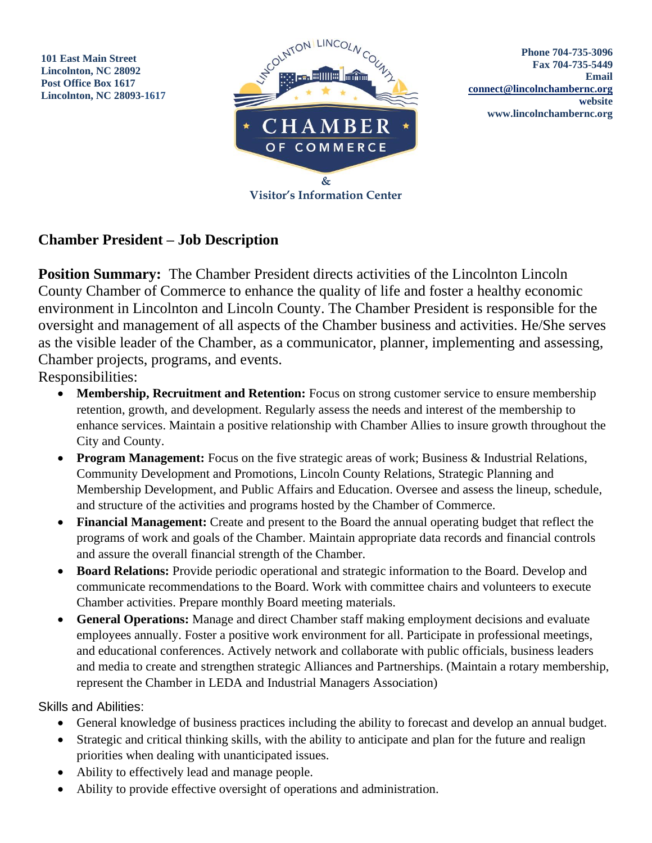**101 East Main Street Lincolnton, NC 28092 Post Office Box 1617 Lincolnton, NC 28093-1617**



## **Chamber President – Job Description**

**Position Summary:** The Chamber President directs activities of the Lincolnton Lincoln County Chamber of Commerce to enhance the quality of life and foster a healthy economic environment in Lincolnton and Lincoln County. The Chamber President is responsible for the oversight and management of all aspects of the Chamber business and activities. He/She serves as the visible leader of the Chamber, as a communicator, planner, implementing and assessing, Chamber projects, programs, and events.

Responsibilities:

- **Membership, Recruitment and Retention:** Focus on strong customer service to ensure membership retention, growth, and development. Regularly assess the needs and interest of the membership to enhance services. Maintain a positive relationship with Chamber Allies to insure growth throughout the City and County.
- **Program Management:** Focus on the five strategic areas of work; Business & Industrial Relations, Community Development and Promotions, Lincoln County Relations, Strategic Planning and Membership Development, and Public Affairs and Education. Oversee and assess the lineup, schedule, and structure of the activities and programs hosted by the Chamber of Commerce.
- **Financial Management:** Create and present to the Board the annual operating budget that reflect the programs of work and goals of the Chamber. Maintain appropriate data records and financial controls and assure the overall financial strength of the Chamber.
- **Board Relations:** Provide periodic operational and strategic information to the Board. Develop and communicate recommendations to the Board. Work with committee chairs and volunteers to execute Chamber activities. Prepare monthly Board meeting materials.
- **General Operations:** Manage and direct Chamber staff making employment decisions and evaluate employees annually. Foster a positive work environment for all. Participate in professional meetings, and educational conferences. Actively network and collaborate with public officials, business leaders and media to create and strengthen strategic Alliances and Partnerships. (Maintain a rotary membership, represent the Chamber in LEDA and Industrial Managers Association)

Skills and Abilities:

- General knowledge of business practices including the ability to forecast and develop an annual budget.
- Strategic and critical thinking skills, with the ability to anticipate and plan for the future and realign priorities when dealing with unanticipated issues.
- Ability to effectively lead and manage people.
- Ability to provide effective oversight of operations and administration.